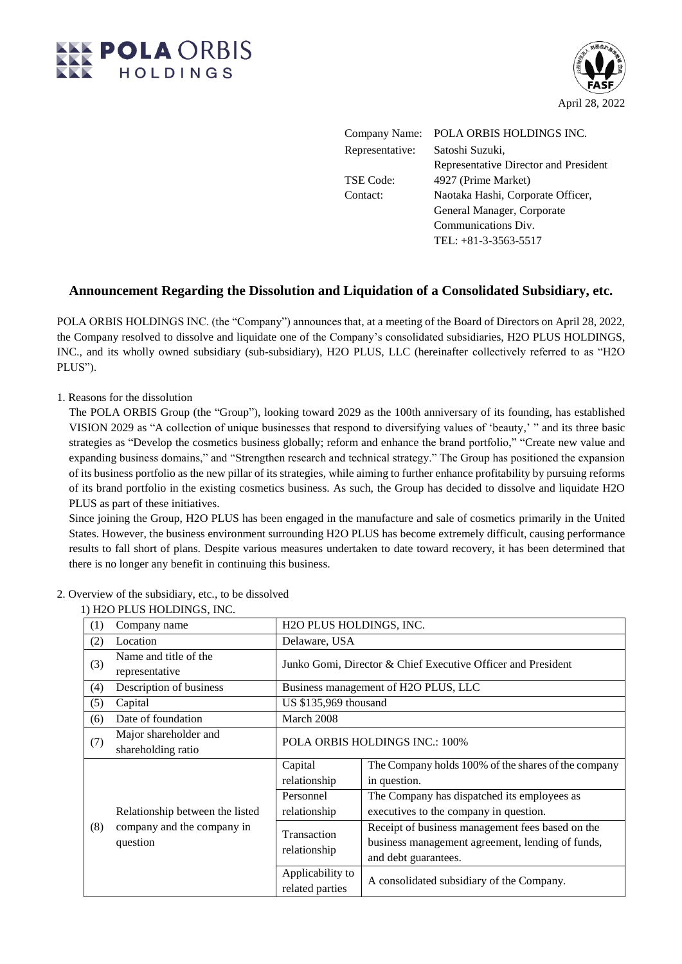



| Company Name:    | POLA ORBIS HOLDINGS INC.              |
|------------------|---------------------------------------|
| Representative:  | Satoshi Suzuki,                       |
|                  | Representative Director and President |
| <b>TSE Code:</b> | 4927 (Prime Market)                   |
| Contact:         | Naotaka Hashi, Corporate Officer,     |
|                  | General Manager, Corporate            |
|                  | Communications Div.                   |
|                  | TEL: +81-3-3563-5517                  |

## **Announcement Regarding the Dissolution and Liquidation of a Consolidated Subsidiary, etc.**

POLA ORBIS HOLDINGS INC. (the "Company") announces that, at a meeting of the Board of Directors on April 28, 2022, the Company resolved to dissolve and liquidate one of the Company's consolidated subsidiaries, H2O PLUS HOLDINGS, INC., and its wholly owned subsidiary (sub-subsidiary), H2O PLUS, LLC (hereinafter collectively referred to as "H2O PLUS").

1. Reasons for the dissolution

The POLA ORBIS Group (the "Group"), looking toward 2029 as the 100th anniversary of its founding, has established VISION 2029 as "A collection of unique businesses that respond to diversifying values of 'beauty,' " and its three basic strategies as "Develop the cosmetics business globally; reform and enhance the brand portfolio," "Create new value and expanding business domains," and "Strengthen research and technical strategy." The Group has positioned the expansion of its business portfolio as the new pillar of its strategies, while aiming to further enhance profitability by pursuing reforms of its brand portfolio in the existing cosmetics business. As such, the Group has decided to dissolve and liquidate H2O PLUS as part of these initiatives.

Since joining the Group, H2O PLUS has been engaged in the manufacture and sale of cosmetics primarily in the United States. However, the business environment surrounding H2O PLUS has become extremely difficult, causing performance results to fall short of plans. Despite various measures undertaken to date toward recovery, it has been determined that there is no longer any benefit in continuing this business.

|     | 1711201 LOS 110LDINOS, INC.                                               |                                                              |                                                                                                                              |  |  |  |  |  |
|-----|---------------------------------------------------------------------------|--------------------------------------------------------------|------------------------------------------------------------------------------------------------------------------------------|--|--|--|--|--|
| (1) | Company name                                                              | H2O PLUS HOLDINGS, INC.                                      |                                                                                                                              |  |  |  |  |  |
| (2) | Location                                                                  | Delaware, USA                                                |                                                                                                                              |  |  |  |  |  |
| (3) | Name and title of the<br>representative                                   | Junko Gomi, Director & Chief Executive Officer and President |                                                                                                                              |  |  |  |  |  |
| (4) | Description of business                                                   | Business management of H2O PLUS, LLC                         |                                                                                                                              |  |  |  |  |  |
| (5) | Capital                                                                   | US \$135,969 thousand                                        |                                                                                                                              |  |  |  |  |  |
| (6) | Date of foundation                                                        | March 2008                                                   |                                                                                                                              |  |  |  |  |  |
| (7) | Major shareholder and<br>shareholding ratio                               | POLA ORBIS HOLDINGS INC.: 100%                               |                                                                                                                              |  |  |  |  |  |
|     | Relationship between the listed<br>company and the company in<br>question | Capital<br>relationship                                      | The Company holds 100% of the shares of the company<br>in question.                                                          |  |  |  |  |  |
|     |                                                                           | Personnel<br>relationship                                    | The Company has dispatched its employees as<br>executives to the company in question.                                        |  |  |  |  |  |
| (8) |                                                                           | Transaction<br>relationship                                  | Receipt of business management fees based on the<br>business management agreement, lending of funds,<br>and debt guarantees. |  |  |  |  |  |
|     |                                                                           | Applicability to<br>related parties                          | A consolidated subsidiary of the Company.                                                                                    |  |  |  |  |  |

### 2. Overview of the subsidiary, etc., to be dissolved

## 1) H2O PLUS HOLDINGS, INC.